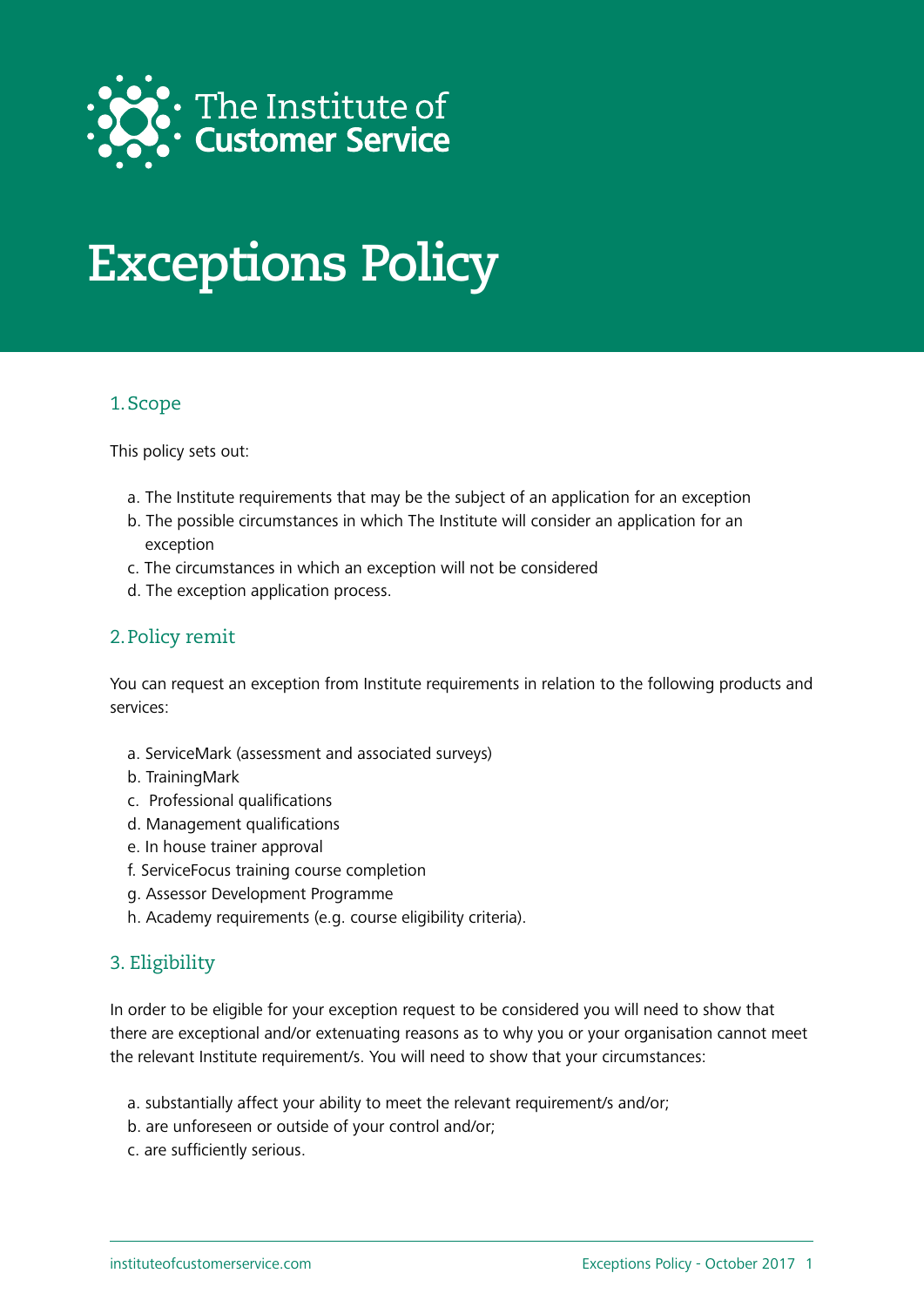

# **Exceptions Policy**

## 1.Scope

This policy sets out:

- a. The Institute requirements that may be the subject of an application for an exception
- b. The possible circumstances in which The Institute will consider an application for an exception
- c. The circumstances in which an exception will not be considered
- d. The exception application process.

## 2.Policy remit

You can request an exception from Institute requirements in relation to the following products and services:

- a. ServiceMark (assessment and associated surveys)
- b. TrainingMark
- c. Professional qualifications
- d. Management qualifications
- e. In house trainer approval
- f. ServiceFocus training course completion
- g. Assessor Development Programme
- h. Academy requirements (e.g. course eligibility criteria).

# 3. Eligibility

In order to be eligible for your exception request to be considered you will need to show that there are exceptional and/or extenuating reasons as to why you or your organisation cannot meet the relevant Institute requirement/s. You will need to show that your circumstances:

- a. substantially affect your ability to meet the relevant requirement/s and/or;
- b. are unforeseen or outside of your control and/or;
- c. are sufficiently serious.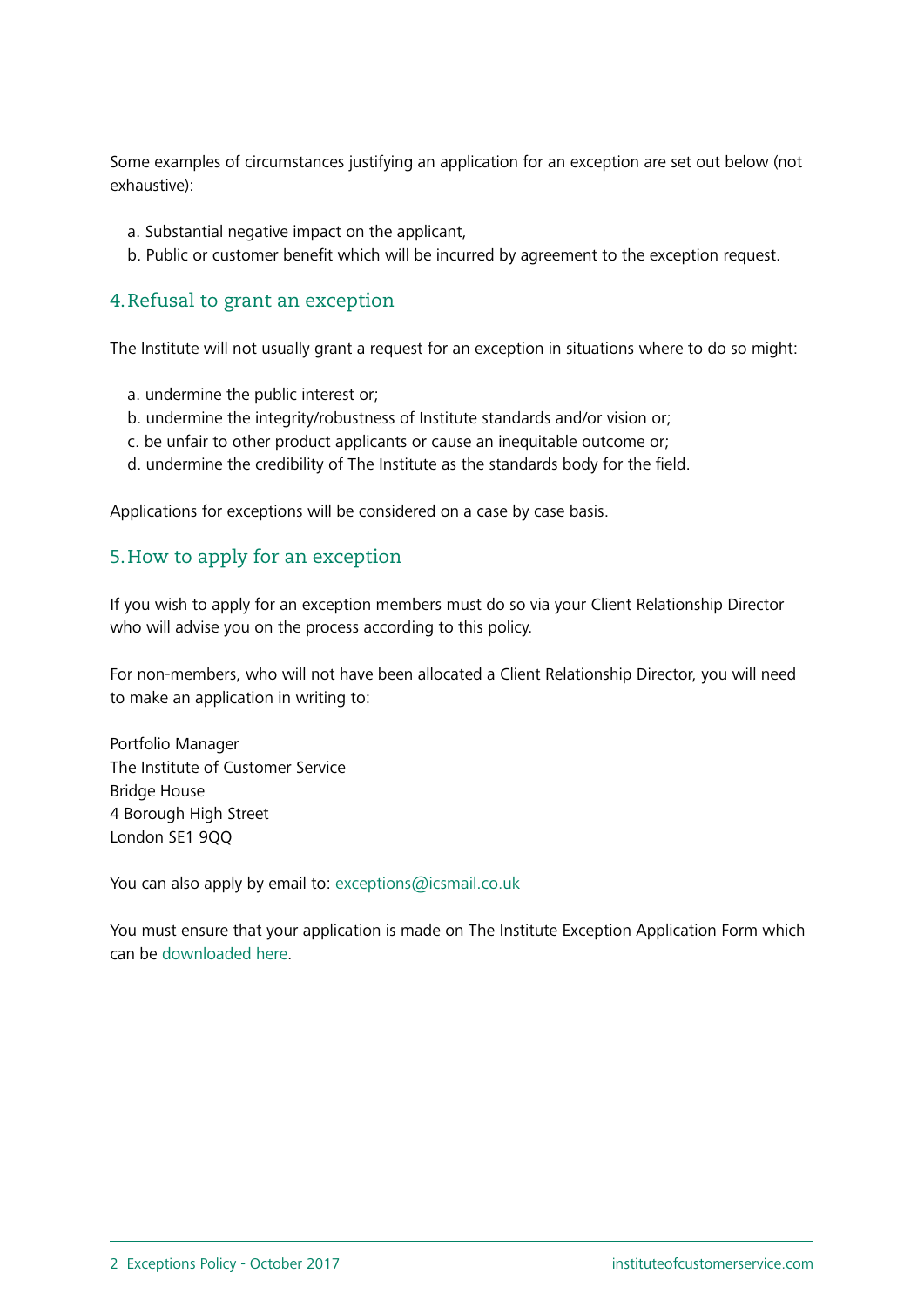Some examples of circumstances justifying an application for an exception are set out below (not exhaustive):

- a. Substantial negative impact on the applicant,
- b. Public or customer benefit which will be incurred by agreement to the exception request.

#### 4.Refusal to grant an exception

The Institute will not usually grant a request for an exception in situations where to do so might:

- a. undermine the public interest or;
- b. undermine the integrity/robustness of Institute standards and/or vision or;
- c. be unfair to other product applicants or cause an inequitable outcome or;
- d. undermine the credibility of The Institute as the standards body for the field.

Applications for exceptions will be considered on a case by case basis.

## 5.How to apply for an exception

If you wish to apply for an exception members must do so via your Client Relationship Director who will advise you on the process according to this policy.

For non-members, who will not have been allocated a Client Relationship Director, you will need to make an application in writing to:

Portfolio Manager The Institute of Customer Service Bridge House 4 Borough High Street London SE1 9QQ

You can also apply by email to: [exceptions@icsmail.co.uk](mailto:mailto:exceptions%40icsmail.co.uk?subject=)

You must ensure that your application is made on The Institute Exception Application Form which can be [downloaded here](https://www.instituteofcustomerservice.com/media/misc/exception-request-form-2134.docx).